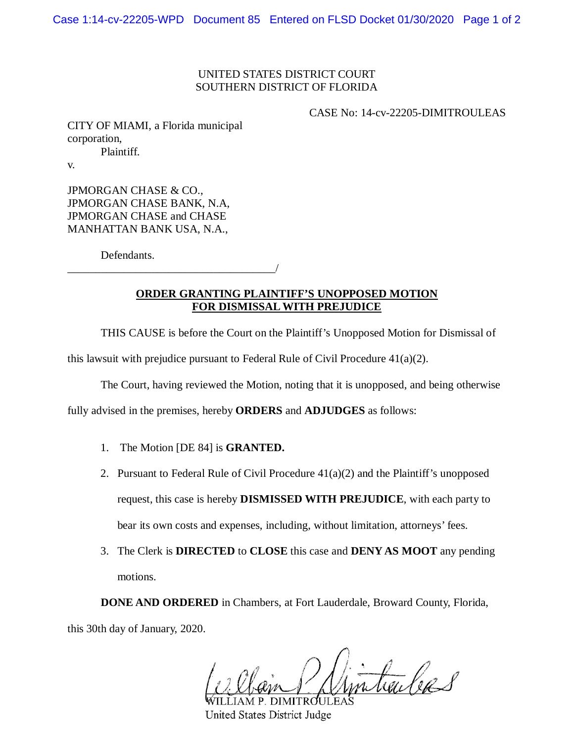## UNITED STATES DISTRICT COURT SOUTHERN DISTRICT OF FLORIDA

CASE No: 14-cv-22205-DIMITROULEAS

CITY OF MIAMI, a Florida municipal corporation, Plaintiff.

v.

JPMORGAN CHASE & CO., JPMORGAN CHASE BANK, N.A, JPMORGAN CHASE and CHASE MANHATTAN BANK USA, N.A.,

Defendants.

\_\_\_\_\_\_\_\_\_\_\_\_\_\_\_\_\_\_\_\_\_\_\_\_\_\_\_\_\_\_\_\_\_\_\_\_\_/

## **ORDER GRANTING PLAINTIFF'S UNOPPOSED MOTION FOR DISMISSAL WITH PREJUDICE**

THIS CAUSE is before the Court on the Plaintiff's Unopposed Motion for Dismissal of

this lawsuit with prejudice pursuant to Federal Rule of Civil Procedure  $41(a)(2)$ .

The Court, having reviewed the Motion, noting that it is unopposed, and being otherwise

fully advised in the premises, hereby **ORDERS** and **ADJUDGES** as follows:

- 1. The Motion [DE 84] is **GRANTED.**
- 2. Pursuant to Federal Rule of Civil Procedure  $41(a)(2)$  and the Plaintiff's unopposed request, this case is hereby **DISMISSED WITH PREJUDICE**, with each party to bear its own costs and expenses, including, without limitation, attorneys' fees.
- 3. The Clerk is **DIRECTED** to **CLOSE** this case and **DENY AS MOOT** any pending motions.

**DONE AND ORDERED** in Chambers, at Fort Lauderdale, Broward County, Florida, this 30th day of January, 2020.

tailed 8

P. DIMITRO **United States District Judge**